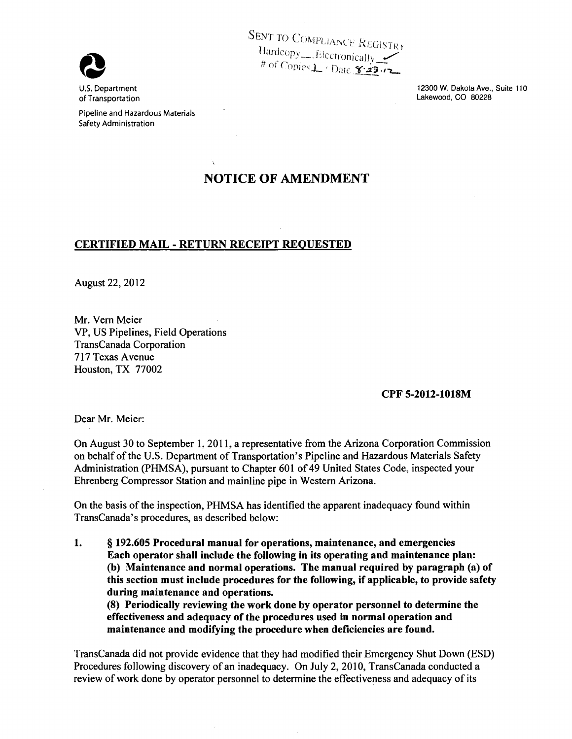

U.S. Department of Transportation SENT TO COMPLIANCE REGISTRY Hardcopv ~ --·· Flc('fl·on <sup>~</sup>· .ICd .. lJ-v '"' ~ # of *('r :* , . , · - . ,)f1Jl 'j\_ I rJ:ltc Y·..z3.,""L.. # of Copies L / Date 8-23 12

> 12300 W. Dakota Ave., Suite 110 Lakewood, CO 80228

Pipeline and Hazardous Materials Safety Administration

## NOTICE OF AMENDMENT

## CERTIFIED MAIL -RETURN RECEIPT REQUESTED

August 22, 2012

Mr. Vern Meier VP, US Pipelines, Field Operations TransCanada Corporation 717 Texas Avenue Houston, TX 77002

## CPF 5-2012-1018M

Dear Mr. Meier:

On August 30 to September 1, 2011, a representative from the Arizona Corporation Commission on behalf of the U.S. Department of Transportation's Pipeline and Hazardous Materials Safety Administration (PHMSA), pursuant to Chapter 601 of 49 United States Code, inspected your Ehrenberg Compressor Station and mainline pipe in Western Arizona.

On the basis of the inspection, PHMSA has identified the apparent inadequacy found within TransCanada's procedures, as described below:

1. § 192.605 Procedural manual for operations, maintenance, and emergencies Each operator shall include the following in its operating and maintenance plan: (b) Maintenance and normal operations. The manual required by paragraph (a) of this section must include procedures for the following, if applicable, to provide safety during maintenance and operations.

(8) Periodically reviewing the work done by operator personnel to determine the effectiveness and adequacy of the procedures used in normal operation and maintenance and modifying the procedure when deficiencies are found.

TransCanada did not provide evidence that they had modified their Emergency Shut Down (ESD) Procedures following discovery of an inadequacy. On July 2, 2010, TransCanada conducted a review of work done by operator personnel to determine the effectiveness and adequacy of its